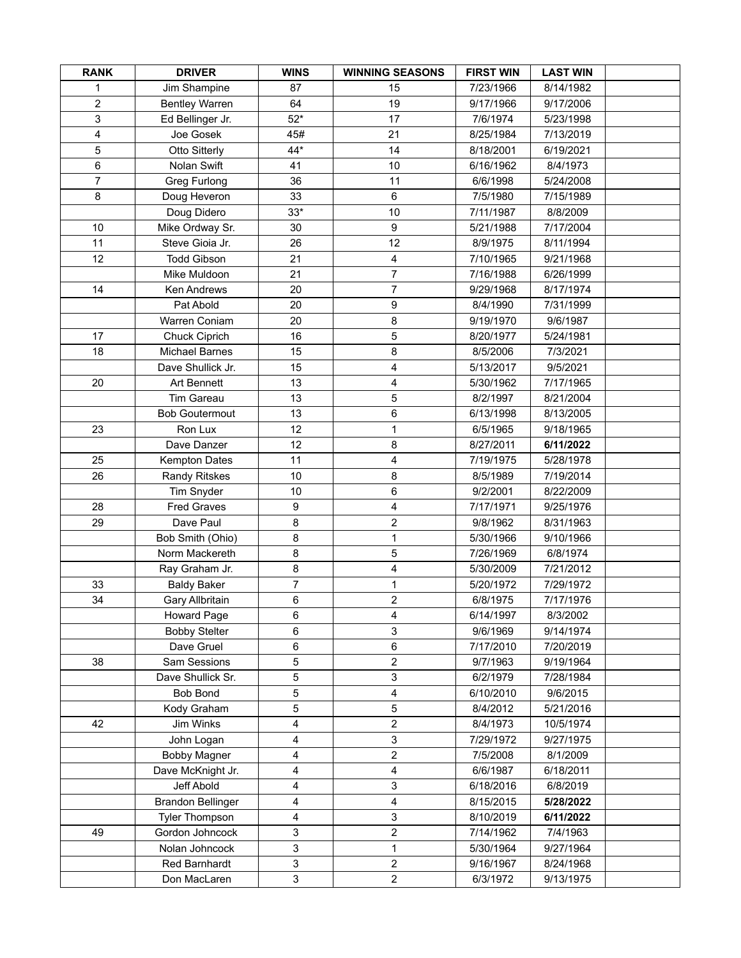| <b>RANK</b>    | <b>DRIVER</b>            | <b>WINS</b>    | <b>WINNING SEASONS</b>  | <b>FIRST WIN</b> | <b>LAST WIN</b> |  |
|----------------|--------------------------|----------------|-------------------------|------------------|-----------------|--|
| 1              | Jim Shampine             | 87             | 15                      | 7/23/1966        | 8/14/1982       |  |
| $\overline{2}$ | <b>Bentley Warren</b>    | 64             | 19                      | 9/17/1966        | 9/17/2006       |  |
| 3              | Ed Bellinger Jr.         | $52*$          | 17                      | 7/6/1974         | 5/23/1998       |  |
| 4              | Joe Gosek                | 45#            | 21                      | 8/25/1984        | 7/13/2019       |  |
| 5              | Otto Sitterly            | 44*            | 14                      | 8/18/2001        | 6/19/2021       |  |
| $\,6\,$        | Nolan Swift              | 41             | 10                      | 6/16/1962        | 8/4/1973        |  |
| $\overline{7}$ | Greg Furlong             | 36             | 11                      | 6/6/1998         | 5/24/2008       |  |
| 8              | Doug Heveron             | 33             | $\,6\,$                 | 7/5/1980         | 7/15/1989       |  |
|                | Doug Didero              | $33*$          | 10                      | 7/11/1987        | 8/8/2009        |  |
| 10             | Mike Ordway Sr.          | 30             | 9                       | 5/21/1988        | 7/17/2004       |  |
| 11             | Steve Gioia Jr.          | 26             | 12                      | 8/9/1975         | 8/11/1994       |  |
| 12             | <b>Todd Gibson</b>       | 21             | $\overline{4}$          | 7/10/1965        | 9/21/1968       |  |
|                | Mike Muldoon             | 21             | $\overline{7}$          | 7/16/1988        | 6/26/1999       |  |
| 14             | Ken Andrews              | 20             | $\overline{7}$          | 9/29/1968        | 8/17/1974       |  |
|                | Pat Abold                | 20             | $\boldsymbol{9}$        | 8/4/1990         | 7/31/1999       |  |
|                | Warren Coniam            | 20             | 8                       | 9/19/1970        | 9/6/1987        |  |
| 17             | Chuck Ciprich            | 16             | $\sqrt{5}$              | 8/20/1977        | 5/24/1981       |  |
| 18             | <b>Michael Barnes</b>    | 15             | 8                       | 8/5/2006         | 7/3/2021        |  |
|                | Dave Shullick Jr.        | 15             | 4                       | 5/13/2017        | 9/5/2021        |  |
| 20             | Art Bennett              | 13             | 4                       | 5/30/1962        | 7/17/1965       |  |
|                | Tim Gareau               | 13             | 5                       | 8/2/1997         | 8/21/2004       |  |
|                | <b>Bob Goutermout</b>    | 13             | $\,6\,$                 | 6/13/1998        | 8/13/2005       |  |
| 23             | Ron Lux                  | 12             | $\mathbf{1}$            | 6/5/1965         | 9/18/1965       |  |
|                | Dave Danzer              | 12             | 8                       | 8/27/2011        | 6/11/2022       |  |
| 25             | <b>Kempton Dates</b>     | 11             | 4                       | 7/19/1975        | 5/28/1978       |  |
| 26             | <b>Randy Ritskes</b>     | 10             | 8                       | 8/5/1989         | 7/19/2014       |  |
|                | Tim Snyder               | 10             | 6                       | 9/2/2001         | 8/22/2009       |  |
| 28             | <b>Fred Graves</b>       | 9              | 4                       | 7/17/1971        | 9/25/1976       |  |
| 29             | Dave Paul                | 8              | $\mathbf 2$             | 9/8/1962         | 8/31/1963       |  |
|                | Bob Smith (Ohio)         | 8              | $\mathbf{1}$            | 5/30/1966        | 9/10/1966       |  |
|                | Norm Mackereth           | 8              | 5                       | 7/26/1969        | 6/8/1974        |  |
|                | Ray Graham Jr.           | 8              | 4                       | 5/30/2009        | 7/21/2012       |  |
| 33             | <b>Baldy Baker</b>       | $\overline{7}$ | $\mathbf{1}$            | 5/20/1972        | 7/29/1972       |  |
| 34             | Gary Allbritain          | 6              | $\overline{c}$          | 6/8/1975         | 7/17/1976       |  |
|                | <b>Howard Page</b>       | 6              | 4                       | 6/14/1997        | 8/3/2002        |  |
|                | <b>Bobby Stelter</b>     | 6              | 3                       | 9/6/1969         | 9/14/1974       |  |
|                | Dave Gruel               | 6              | 6                       | 7/17/2010        | 7/20/2019       |  |
| 38             | Sam Sessions             | 5              | $\overline{\mathbf{c}}$ | 9/7/1963         | 9/19/1964       |  |
|                | Dave Shullick Sr.        | 5              | 3                       | 6/2/1979         | 7/28/1984       |  |
|                | <b>Bob Bond</b>          | 5              | 4                       | 6/10/2010        | 9/6/2015        |  |
|                | Kody Graham              | 5              | 5                       | 8/4/2012         | 5/21/2016       |  |
| 42             | Jim Winks                | 4              | $\overline{c}$          | 8/4/1973         | 10/5/1974       |  |
|                | John Logan               | 4              | 3                       | 7/29/1972        | 9/27/1975       |  |
|                | <b>Bobby Magner</b>      | 4              | $\overline{\mathbf{c}}$ | 7/5/2008         | 8/1/2009        |  |
|                | Dave McKnight Jr.        | 4              | $\overline{\mathbf{4}}$ | 6/6/1987         | 6/18/2011       |  |
|                | Jeff Abold               | 4              | 3                       | 6/18/2016        | 6/8/2019        |  |
|                | <b>Brandon Bellinger</b> | 4              | 4                       | 8/15/2015        | 5/28/2022       |  |
|                | <b>Tyler Thompson</b>    | 4              | 3                       | 8/10/2019        | 6/11/2022       |  |
| 49             | Gordon Johncock          | 3              | $\overline{c}$          | 7/14/1962        | 7/4/1963        |  |
|                | Nolan Johncock           | 3              | $\mathbf{1}$            | 5/30/1964        | 9/27/1964       |  |
|                | Red Barnhardt            | 3              | $\sqrt{2}$              | 9/16/1967        | 8/24/1968       |  |
|                | Don MacLaren             | 3              | $\boldsymbol{2}$        | 6/3/1972         | 9/13/1975       |  |